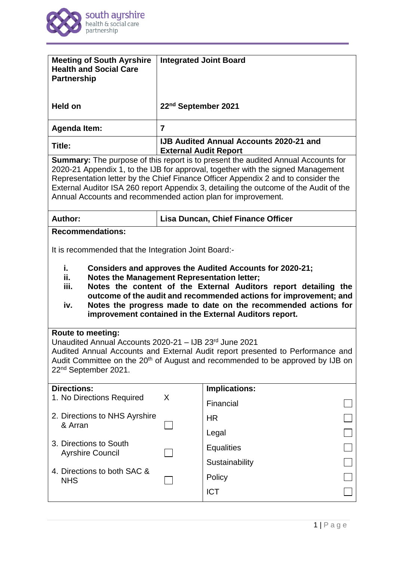

| <b>Meeting of South Ayrshire</b><br><b>Health and Social Care</b><br><b>Partnership</b>                                                                                                                                                                                                                                                                                                                                    | <b>Integrated Joint Board</b> |                                                |  |
|----------------------------------------------------------------------------------------------------------------------------------------------------------------------------------------------------------------------------------------------------------------------------------------------------------------------------------------------------------------------------------------------------------------------------|-------------------------------|------------------------------------------------|--|
| <b>Held on</b>                                                                                                                                                                                                                                                                                                                                                                                                             | 22nd September 2021           |                                                |  |
| <b>Agenda Item:</b>                                                                                                                                                                                                                                                                                                                                                                                                        | $\overline{7}$                |                                                |  |
| Title:                                                                                                                                                                                                                                                                                                                                                                                                                     | <b>External Audit Report</b>  | <b>IJB Audited Annual Accounts 2020-21 and</b> |  |
| <b>Summary:</b> The purpose of this report is to present the audited Annual Accounts for<br>2020-21 Appendix 1, to the IJB for approval, together with the signed Management<br>Representation letter by the Chief Finance Officer Appendix 2 and to consider the<br>External Auditor ISA 260 report Appendix 3, detailing the outcome of the Audit of the<br>Annual Accounts and recommended action plan for improvement. |                               |                                                |  |
| <b>Author:</b>                                                                                                                                                                                                                                                                                                                                                                                                             |                               | <b>Lisa Duncan, Chief Finance Officer</b>      |  |
| <b>Recommendations:</b><br>It is recommended that the Integration Joint Board:-                                                                                                                                                                                                                                                                                                                                            |                               |                                                |  |
| i.<br>Considers and approves the Audited Accounts for 2020-21;<br>ii.<br><b>Notes the Management Representation letter;</b><br>iii.<br>Notes the content of the External Auditors report detailing the<br>outcome of the audit and recommended actions for improvement; and<br>Notes the progress made to date on the recommended actions for<br>iv.<br>improvement contained in the External Auditors report.             |                               |                                                |  |
| <b>Route to meeting:</b><br>Unaudited Annual Accounts 2020-21 - IJB 23rd June 2021<br>Audited Annual Accounts and External Audit report presented to Performance and<br>Audit Committee on the 20 <sup>th</sup> of August and recommended to be approved by IJB on<br>22 <sup>nd</sup> September 2021.                                                                                                                     |                               |                                                |  |
| <b>Directions:</b><br>1. No Directions Required                                                                                                                                                                                                                                                                                                                                                                            | X                             | <b>Implications:</b>                           |  |
|                                                                                                                                                                                                                                                                                                                                                                                                                            |                               | Financial                                      |  |
| 2. Directions to NHS Ayrshire<br>& Arran                                                                                                                                                                                                                                                                                                                                                                                   |                               | <b>HR</b>                                      |  |
|                                                                                                                                                                                                                                                                                                                                                                                                                            |                               | Legal                                          |  |
| 3. Directions to South<br><b>Ayrshire Council</b>                                                                                                                                                                                                                                                                                                                                                                          |                               | <b>Equalities</b>                              |  |
| 4. Directions to both SAC &                                                                                                                                                                                                                                                                                                                                                                                                |                               | Sustainability                                 |  |
| <b>NHS</b>                                                                                                                                                                                                                                                                                                                                                                                                                 |                               | Policy                                         |  |
|                                                                                                                                                                                                                                                                                                                                                                                                                            |                               | <b>ICT</b>                                     |  |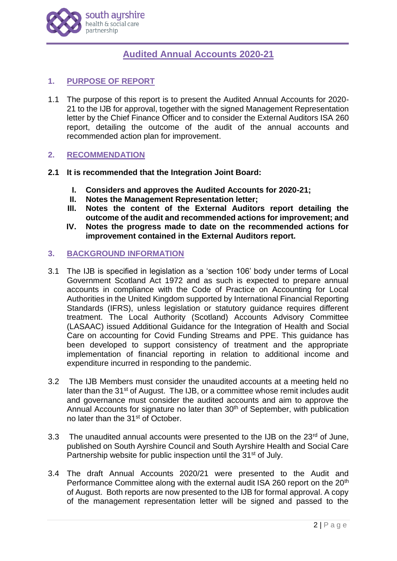

# **Audited Annual Accounts 2020-21**

# **1. PURPOSE OF REPORT**

1.1 The purpose of this report is to present the Audited Annual Accounts for 2020- 21 to the IJB for approval, together with the signed Management Representation letter by the Chief Finance Officer and to consider the External Auditors ISA 260 report, detailing the outcome of the audit of the annual accounts and recommended action plan for improvement.

# **2. RECOMMENDATION**

- **2.1 It is recommended that the Integration Joint Board:**
	- **I. Considers and approves the Audited Accounts for 2020-21;**
	- **II. Notes the Management Representation letter;**
	- **III. Notes the content of the External Auditors report detailing the outcome of the audit and recommended actions for improvement; and**
	- **IV. Notes the progress made to date on the recommended actions for improvement contained in the External Auditors report.**

# **3. BACKGROUND INFORMATION**

- 3.1 The IJB is specified in legislation as a 'section 106' body under terms of Local Government Scotland Act 1972 and as such is expected to prepare annual accounts in compliance with the Code of Practice on Accounting for Local Authorities in the United Kingdom supported by International Financial Reporting Standards (IFRS), unless legislation or statutory guidance requires different treatment. The Local Authority (Scotland) Accounts Advisory Committee (LASAAC) issued Additional Guidance for the Integration of Health and Social Care on accounting for Covid Funding Streams and PPE. This guidance has been developed to support consistency of treatment and the appropriate implementation of financial reporting in relation to additional income and expenditure incurred in responding to the pandemic.
- 3.2 The IJB Members must consider the unaudited accounts at a meeting held no later than the 31<sup>st</sup> of August. The IJB, or a committee whose remit includes audit and governance must consider the audited accounts and aim to approve the Annual Accounts for signature no later than 30<sup>th</sup> of September, with publication no later than the 31<sup>st</sup> of October.
- 3.3 The unaudited annual accounts were presented to the IJB on the 23<sup>rd</sup> of June, published on South Ayrshire Council and South Ayrshire Health and Social Care Partnership website for public inspection until the 31<sup>st</sup> of July.
- 3.4 The draft Annual Accounts 2020/21 were presented to the Audit and Performance Committee along with the external audit ISA 260 report on the 20<sup>th</sup> of August. Both reports are now presented to the IJB for formal approval. A copy of the management representation letter will be signed and passed to the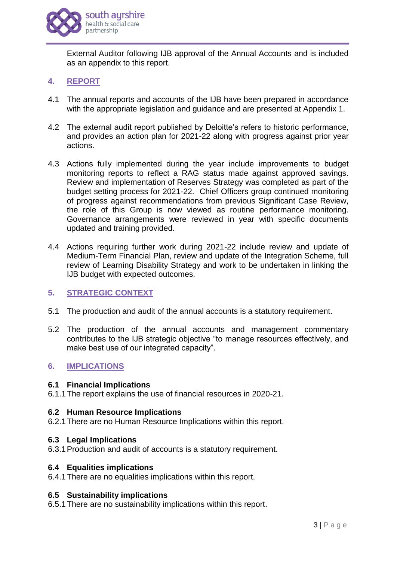

External Auditor following IJB approval of the Annual Accounts and is included as an appendix to this report.

# **4. REPORT**

- 4.1 The annual reports and accounts of the IJB have been prepared in accordance with the appropriate legislation and guidance and are presented at Appendix 1.
- 4.2 The external audit report published by Deloitte's refers to historic performance, and provides an action plan for 2021-22 along with progress against prior year actions.
- 4.3 Actions fully implemented during the year include improvements to budget monitoring reports to reflect a RAG status made against approved savings. Review and implementation of Reserves Strategy was completed as part of the budget setting process for 2021-22. Chief Officers group continued monitoring of progress against recommendations from previous Significant Case Review, the role of this Group is now viewed as routine performance monitoring. Governance arrangements were reviewed in year with specific documents updated and training provided.
- 4.4 Actions requiring further work during 2021-22 include review and update of Medium-Term Financial Plan, review and update of the Integration Scheme, full review of Learning Disability Strategy and work to be undertaken in linking the IJB budget with expected outcomes.

# **5. STRATEGIC CONTEXT**

- 5.1 The production and audit of the annual accounts is a statutory requirement.
- 5.2 The production of the annual accounts and management commentary contributes to the IJB strategic objective "to manage resources effectively, and make best use of our integrated capacity".

# **6. IMPLICATIONS**

#### **6.1 Financial Implications**

6.1.1The report explains the use of financial resources in 2020-21.

#### **6.2 Human Resource Implications**

6.2.1There are no Human Resource Implications within this report.

#### **6.3 Legal Implications**

6.3.1Production and audit of accounts is a statutory requirement.

#### **6.4 Equalities implications**

6.4.1There are no equalities implications within this report.

#### **6.5 Sustainability implications**

6.5.1There are no sustainability implications within this report.